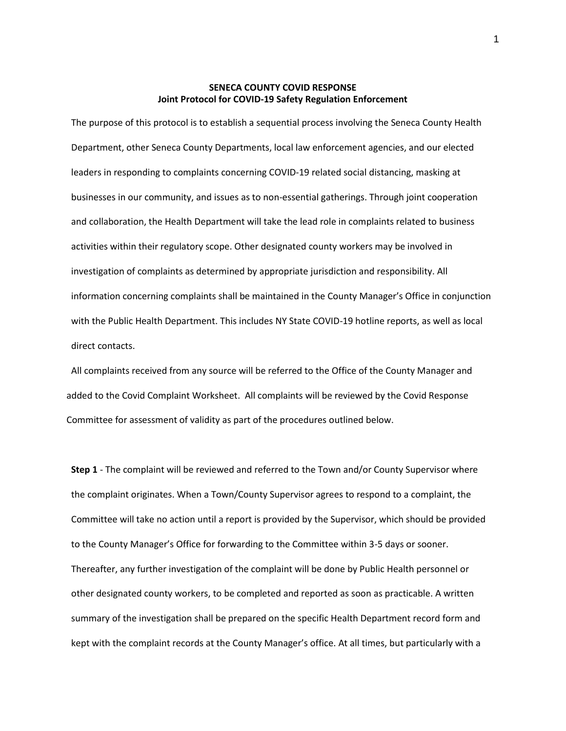### **SENECA COUNTY COVID RESPONSE Joint Protocol for COVID-19 Safety Regulation Enforcement**

The purpose of this protocol is to establish a sequential process involving the Seneca County Health Department, other Seneca County Departments, local law enforcement agencies, and our elected leaders in responding to complaints concerning COVID-19 related social distancing, masking at businesses in our community, and issues as to non-essential gatherings. Through joint cooperation and collaboration, the Health Department will take the lead role in complaints related to business activities within their regulatory scope. Other designated county workers may be involved in investigation of complaints as determined by appropriate jurisdiction and responsibility. All information concerning complaints shall be maintained in the County Manager's Office in conjunction with the Public Health Department. This includes NY State COVID-19 hotline reports, as well as local direct contacts.

All complaints received from any source will be referred to the Office of the County Manager and added to the Covid Complaint Worksheet. All complaints will be reviewed by the Covid Response Committee for assessment of validity as part of the procedures outlined below.

**Step 1** - The complaint will be reviewed and referred to the Town and/or County Supervisor where the complaint originates. When a Town/County Supervisor agrees to respond to a complaint, the Committee will take no action until a report is provided by the Supervisor, which should be provided to the County Manager's Office for forwarding to the Committee within 3-5 days or sooner. Thereafter, any further investigation of the complaint will be done by Public Health personnel or other designated county workers, to be completed and reported as soon as practicable. A written summary of the investigation shall be prepared on the specific Health Department record form and kept with the complaint records at the County Manager's office. At all times, but particularly with a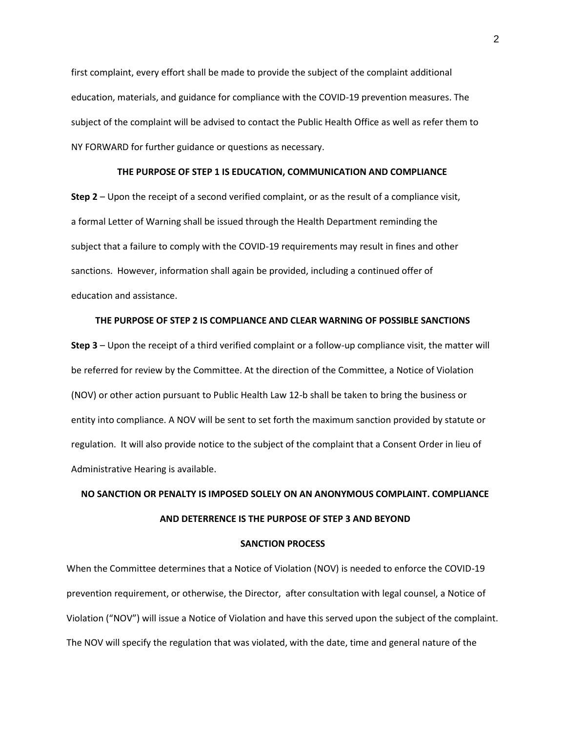first complaint, every effort shall be made to provide the subject of the complaint additional education, materials, and guidance for compliance with the COVID-19 prevention measures. The subject of the complaint will be advised to contact the Public Health Office as well as refer them to NY FORWARD for further guidance or questions as necessary.

### **THE PURPOSE OF STEP 1 IS EDUCATION, COMMUNICATION AND COMPLIANCE**

**Step 2** – Upon the receipt of a second verified complaint, or as the result of a compliance visit, a formal Letter of Warning shall be issued through the Health Department reminding the subject that a failure to comply with the COVID-19 requirements may result in fines and other sanctions. However, information shall again be provided, including a continued offer of education and assistance.

## **THE PURPOSE OF STEP 2 IS COMPLIANCE AND CLEAR WARNING OF POSSIBLE SANCTIONS**

**Step 3** – Upon the receipt of a third verified complaint or a follow-up compliance visit, the matter will be referred for review by the Committee. At the direction of the Committee, a Notice of Violation (NOV) or other action pursuant to Public Health Law 12-b shall be taken to bring the business or entity into compliance. A NOV will be sent to set forth the maximum sanction provided by statute or regulation. It will also provide notice to the subject of the complaint that a Consent Order in lieu of Administrative Hearing is available.

# **NO SANCTION OR PENALTY IS IMPOSED SOLELY ON AN ANONYMOUS COMPLAINT. COMPLIANCE AND DETERRENCE IS THE PURPOSE OF STEP 3 AND BEYOND**

### **SANCTION PROCESS**

When the Committee determines that a Notice of Violation (NOV) is needed to enforce the COVID-19 prevention requirement, or otherwise, the Director, after consultation with legal counsel, a Notice of Violation ("NOV") will issue a Notice of Violation and have this served upon the subject of the complaint. The NOV will specify the regulation that was violated, with the date, time and general nature of the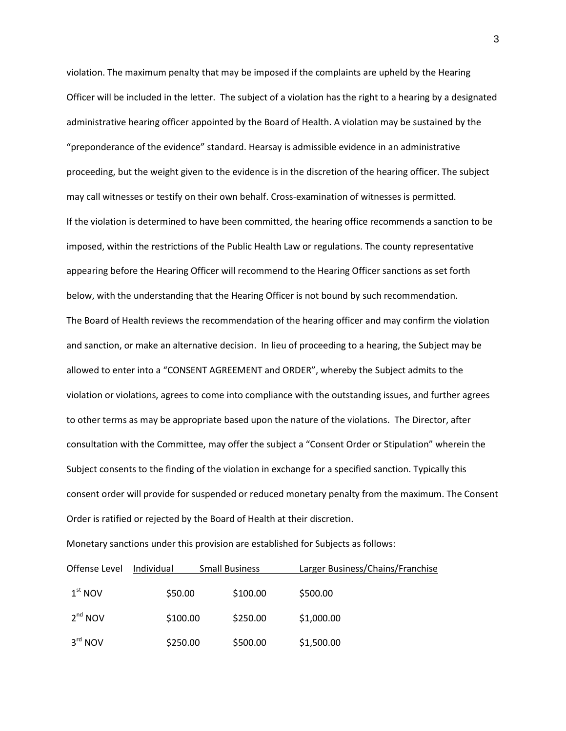violation. The maximum penalty that may be imposed if the complaints are upheld by the Hearing Officer will be included in the letter. The subject of a violation has the right to a hearing by a designated administrative hearing officer appointed by the Board of Health. A violation may be sustained by the "preponderance of the evidence" standard. Hearsay is admissible evidence in an administrative proceeding, but the weight given to the evidence is in the discretion of the hearing officer. The subject may call witnesses or testify on their own behalf. Cross-examination of witnesses is permitted. If the violation is determined to have been committed, the hearing office recommends a sanction to be imposed, within the restrictions of the Public Health Law or regulations. The county representative appearing before the Hearing Officer will recommend to the Hearing Officer sanctions as set forth below, with the understanding that the Hearing Officer is not bound by such recommendation. The Board of Health reviews the recommendation of the hearing officer and may confirm the violation and sanction, or make an alternative decision. In lieu of proceeding to a hearing, the Subject may be allowed to enter into a "CONSENT AGREEMENT and ORDER", whereby the Subject admits to the violation or violations, agrees to come into compliance with the outstanding issues, and further agrees to other terms as may be appropriate based upon the nature of the violations. The Director, after consultation with the Committee, may offer the subject a "Consent Order or Stipulation" wherein the Subject consents to the finding of the violation in exchange for a specified sanction. Typically this consent order will provide for suspended or reduced monetary penalty from the maximum. The Consent Order is ratified or rejected by the Board of Health at their discretion.

| Offense Level | Individual | <b>Small Business</b> | Larger Business/Chains/Franchise |
|---------------|------------|-----------------------|----------------------------------|
| $1st$ NOV     | \$50.00    | \$100.00              | \$500.00                         |
| $2nd$ NOV     | \$100.00   | \$250.00              | \$1,000.00                       |
| $3rd$ NOV     | \$250.00   | \$500.00              | \$1,500.00                       |

Monetary sanctions under this provision are established for Subjects as follows: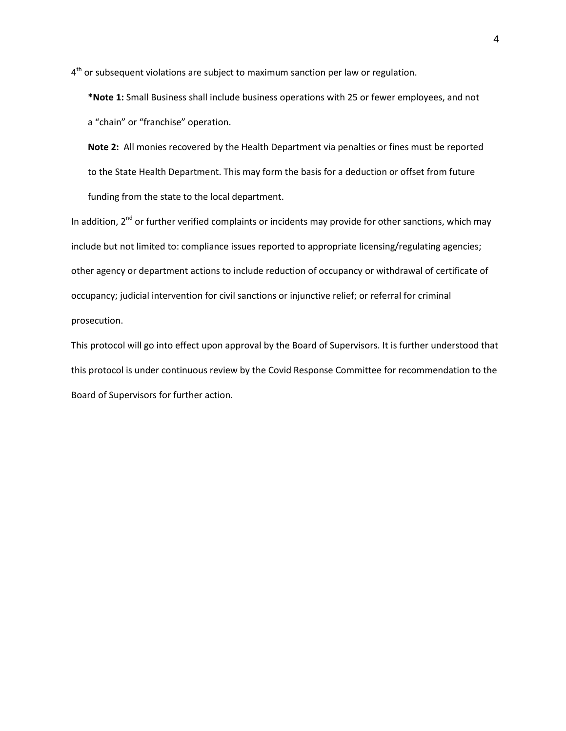4<sup>th</sup> or subsequent violations are subject to maximum sanction per law or regulation.

**\*Note 1:** Small Business shall include business operations with 25 or fewer employees, and not a "chain" or "franchise" operation.

**Note 2:** All monies recovered by the Health Department via penalties or fines must be reported to the State Health Department. This may form the basis for a deduction or offset from future funding from the state to the local department.

In addition,  $2^{nd}$  or further verified complaints or incidents may provide for other sanctions, which may include but not limited to: compliance issues reported to appropriate licensing/regulating agencies; other agency or department actions to include reduction of occupancy or withdrawal of certificate of occupancy; judicial intervention for civil sanctions or injunctive relief; or referral for criminal prosecution.

This protocol will go into effect upon approval by the Board of Supervisors. It is further understood that this protocol is under continuous review by the Covid Response Committee for recommendation to the Board of Supervisors for further action.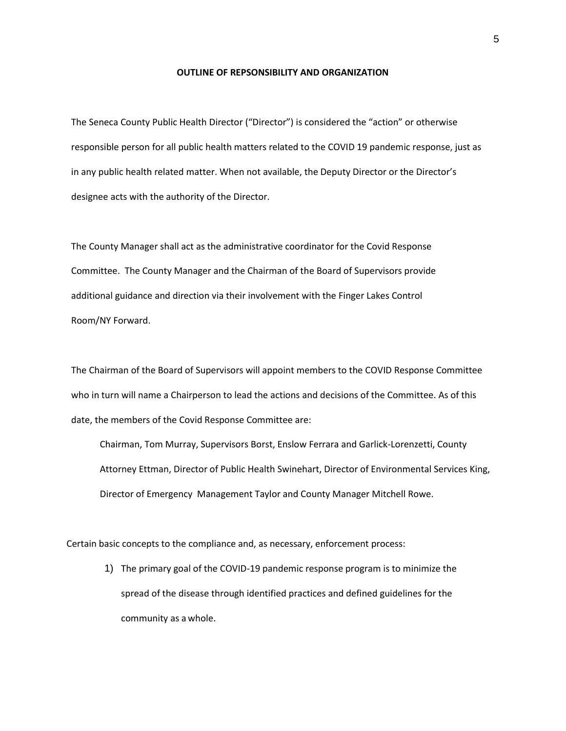#### **OUTLINE OF REPSONSIBILITY AND ORGANIZATION**

The Seneca County Public Health Director ("Director") is considered the "action" or otherwise responsible person for all public health matters related to the COVID 19 pandemic response, just as in any public health related matter. When not available, the Deputy Director or the Director's designee acts with the authority of the Director.

The County Manager shall act as the administrative coordinator for the Covid Response Committee. The County Manager and the Chairman of the Board of Supervisors provide additional guidance and direction via their involvement with the Finger Lakes Control Room/NY Forward.

The Chairman of the Board of Supervisors will appoint members to the COVID Response Committee who in turn will name a Chairperson to lead the actions and decisions of the Committee. As of this date, the members of the Covid Response Committee are:

Chairman, Tom Murray, Supervisors Borst, Enslow Ferrara and Garlick-Lorenzetti, County Attorney Ettman, Director of Public Health Swinehart, Director of Environmental Services King, Director of Emergency Management Taylor and County Manager Mitchell Rowe.

Certain basic concepts to the compliance and, as necessary, enforcement process:

1) The primary goal of the COVID-19 pandemic response program is to minimize the spread of the disease through identified practices and defined guidelines for the community as a whole.